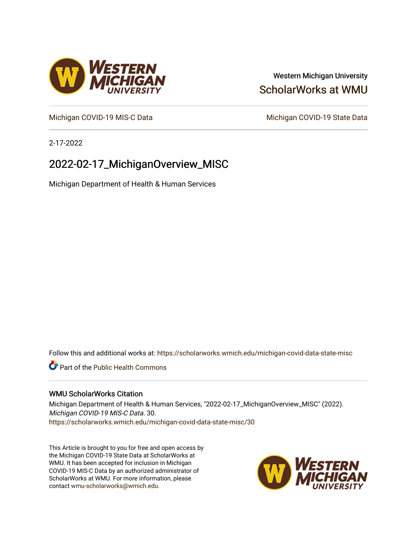## Western Michigan University [ScholarWorks at WMU](https://scholarworks.wmich.edu/)

[Michigan COVID-19 MIS-C Data](https://scholarworks.wmich.edu/michigan-covid-data-state-misc) Michigan COVID-19 State Data

2-17-2022

# 2022-02-17\_MichiganOverview\_MISC

Michigan Department of Health & Human Services

Follow this and additional works at: [https://scholarworks.wmich.edu/michigan-covid-data-state-misc](https://scholarworks.wmich.edu/michigan-covid-data-state-misc?utm_source=scholarworks.wmich.edu%2Fmichigan-covid-data-state-misc%2F30&utm_medium=PDF&utm_campaign=PDFCoverPages) 

**Part of the Public Health Commons** 

#### WMU ScholarWorks Citation

Michigan Department of Health & Human Services, "2022-02-17\_MichiganOverview\_MISC" (2022). Michigan COVID-19 MIS-C Data. 30. [https://scholarworks.wmich.edu/michigan-covid-data-state-misc/30](https://scholarworks.wmich.edu/michigan-covid-data-state-misc/30?utm_source=scholarworks.wmich.edu%2Fmichigan-covid-data-state-misc%2F30&utm_medium=PDF&utm_campaign=PDFCoverPages)

This Article is brought to you for free and open access by the Michigan COVID-19 State Data at ScholarWorks at WMU. It has been accepted for inclusion in Michigan COVID-19 MIS-C Data by an authorized administrator of ScholarWorks at WMU. For more information, please contact [wmu-scholarworks@wmich.edu](mailto:wmu-scholarworks@wmich.edu).